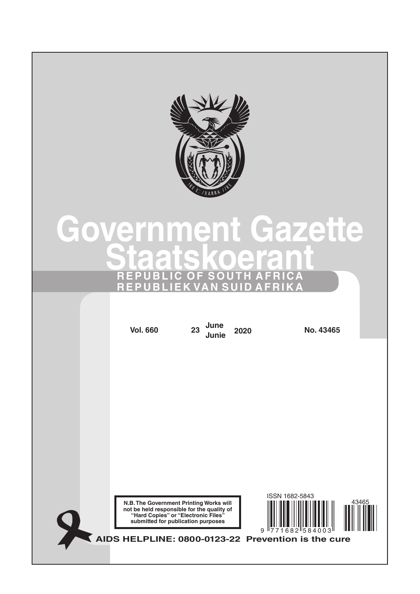

# **Government Gazette Staatskoerant REPUBLIC OF SOUTH AFRICA REPUBLIEK VAN SUID AFRIKA**

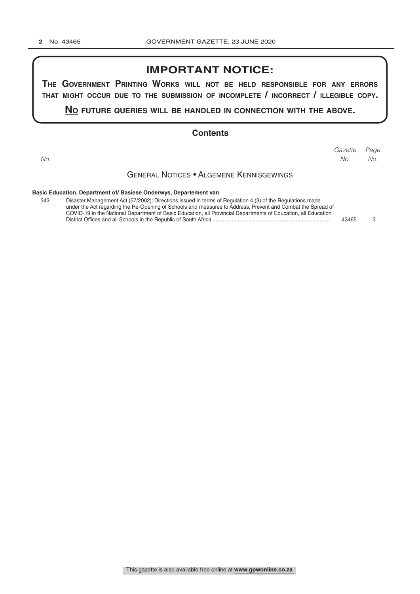# **IMPORTANT NOTICE:**

**The GovernmenT PrinTinG Works Will noT be held resPonsible for any errors ThaT miGhT occur due To The submission of incomPleTe / incorrecT / illeGible coPy.**

#### **no fuTure queries Will be handled in connecTion WiTh The above.**

#### **Contents**

*Page Gazette No. No. No.*

#### General Notices • Algemene Kennisgewings

#### **Basic Education, Department of/ Basiese Onderwys, Departement van**

| 343 | Disaster Management Act (57/2002): Directions issued in terms of Regulation 4 (3) of the Regulations made      |       |    |
|-----|----------------------------------------------------------------------------------------------------------------|-------|----|
|     | under the Act regarding the Re-Opening of Schools and measures to Address, Prevent and Combat the Spread of    |       |    |
|     | COVID-19 in the National Department of Basic Education, all Provincial Departments of Education, all Education |       |    |
|     |                                                                                                                | 43465 | -3 |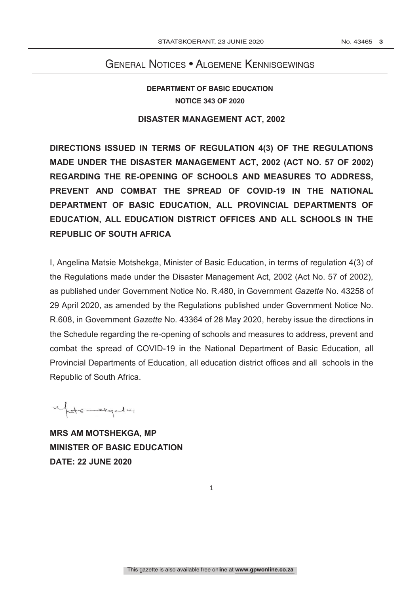# GENERAL NOTICES · ALGEMENE KENNISGEWINGS

# **DEPARTMENT OF BASIC EDUCATION NOTICE 343 OF 2020**

#### **DISASTER MANAGEMENT ACT, 2002**

**DIRECTIONS ISSUED IN TERMS OF REGULATION 4(3) OF THE REGULATIONS MADE UNDER THE DISASTER MANAGEMENT ACT, 2002 (ACT NO. 57 OF 2002) REGARDING THE RE-OPENING OF SCHOOLS AND MEASURES TO ADDRESS, PREVENT AND COMBAT THE SPREAD OF COVID-19 IN THE NATIONAL DEPARTMENT OF BASIC EDUCATION, ALL PROVINCIAL DEPARTMENTS OF EDUCATION, ALL EDUCATION DISTRICT OFFICES AND ALL SCHOOLS IN THE REPUBLIC OF SOUTH AFRICA**

I, Angelina Matsie Motshekga, Minister of Basic Education, in terms of regulation 4(3) of the Regulations made under the Disaster Management Act, 2002 (Act No. 57 of 2002), as published under Government Notice No. R.480, in Government *Gazette* No. 43258 of 29 April 2020, as amended by the Regulations published under Government Notice No. R.608, in Government *Gazette* No. 43364 of 28 May 2020, hereby issue the directions in the Schedule regarding the re-opening of schools and measures to address, prevent and combat the spread of COVID-19 in the National Department of Basic Education, all Provincial Departments of Education, all education district offices and all schools in the Republic of South Africa.

Matematiqatay

**MRS AM MOTSHEKGA, MP MINISTER OF BASIC EDUCATION DATE: 22 JUNE 2020**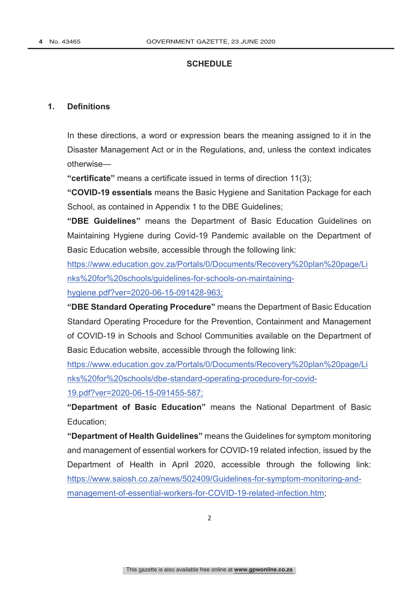#### **SCHEDULE**

#### **1. Definitions**

In these directions, a word or expression bears the meaning assigned to it in the Disaster Management Act or in the Regulations, and, unless the context indicates otherwise—

**"certificate"** means a certificate issued in terms of direction 11(3);

**"COVID-19 essentials** means the Basic Hygiene and Sanitation Package for each School, as contained in Appendix 1 to the DBE Guidelines;

**"DBE Guidelines"** means the Department of Basic Education Guidelines on Maintaining Hygiene during Covid-19 Pandemic available on the Department of Basic Education website, accessible through the following link:

https://www.education.gov.za/Portals/0/Documents/Recovery%20plan%20page/Li nks%20for%20schools/guidelines-for-schools-on-maintaining-

hygiene.pdf?ver=2020-06-15-091428-963;

**"DBE Standard Operating Procedure"** means the Department of Basic Education Standard Operating Procedure for the Prevention, Containment and Management of COVID-19 in Schools and School Communities available on the Department of Basic Education website, accessible through the following link:

https://www.education.gov.za/Portals/0/Documents/Recovery%20plan%20page/Li nks%20for%20schools/dbe-standard-operating-procedure-for-covid-

19.pdf?ver=2020-06-15-091455-587;

**"Department of Basic Education"** means the National Department of Basic Education;

**"Department of Health Guidelines"** means the Guidelines for symptom monitoring and management of essential workers for COVID-19 related infection, issued by the Department of Health in April 2020, accessible through the following link: https://www.saiosh.co.za/news/502409/Guidelines-for-symptom-monitoring-andmanagement-of-essential-workers-for-COVID-19-related-infection.htm;

2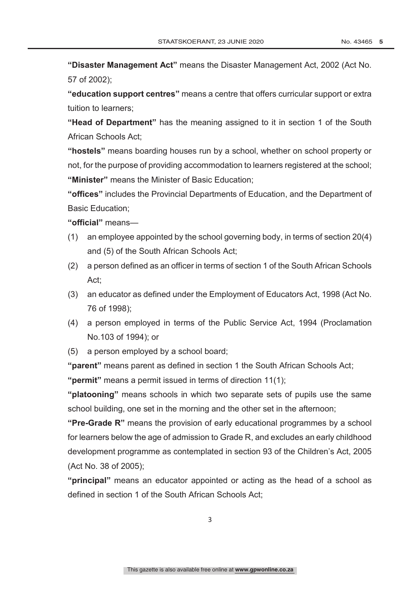**"Disaster Management Act"** means the Disaster Management Act, 2002 (Act No. 57 of 2002);

**"education support centres"** means a centre that offers curricular support or extra tuition to learners;

**"Head of Department"** has the meaning assigned to it in section 1 of the South African Schools Act;

**"hostels"** means boarding houses run by a school, whether on school property or not, for the purpose of providing accommodation to learners registered at the school; **"Minister"** means the Minister of Basic Education;

**"offices"** includes the Provincial Departments of Education, and the Department of Basic Education;

**"official"** means—

- (1) an employee appointed by the school governing body, in terms of section 20(4) and (5) of the South African Schools Act;
- (2) a person defined as an officer in terms of section 1 of the South African Schools Act;
- (3) an educator as defined under the Employment of Educators Act, 1998 (Act No. 76 of 1998);
- (4) a person employed in terms of the Public Service Act, 1994 (Proclamation No.103 of 1994); or
- (5) a person employed by a school board;

**"parent"** means parent as defined in section 1 the South African Schools Act;

**"permit"** means a permit issued in terms of direction 11(1);

**"platooning"** means schools in which two separate sets of pupils use the same school building, one set in the morning and the other set in the afternoon;

**"Pre-Grade R"** means the provision of early educational programmes by a school for learners below the age of admission to Grade R, and excludes an early childhood development programme as contemplated in section 93 of the Children's Act, 2005 (Act No. 38 of 2005);

**"principal"** means an educator appointed or acting as the head of a school as defined in section 1 of the South African Schools Act;

3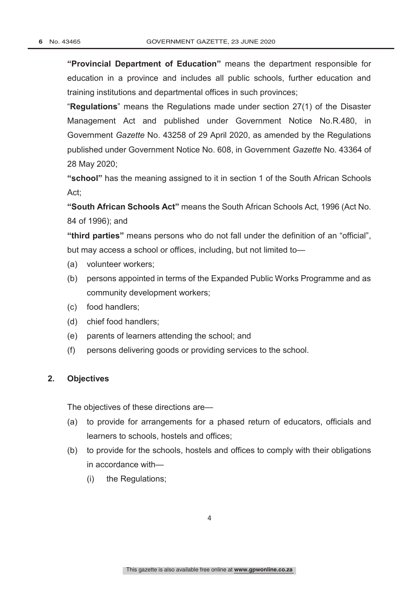**"Provincial Department of Education"** means the department responsible for education in a province and includes all public schools, further education and training institutions and departmental offices in such provinces;

"**Regulations**" means the Regulations made under section 27(1) of the Disaster Management Act and published under Government Notice No.R.480, in Government *Gazette* No. 43258 of 29 April 2020, as amended by the Regulations published under Government Notice No. 608, in Government *Gazette* No. 43364 of 28 May 2020;

**"school"** has the meaning assigned to it in section 1 of the South African Schools Act;

**"South African Schools Act"** means the South African Schools Act, 1996 (Act No. 84 of 1996); and

**"third parties"** means persons who do not fall under the definition of an "official", but may access a school or offices, including, but not limited to—

- (a) volunteer workers;
- (b) persons appointed in terms of the Expanded Public Works Programme and as community development workers;
- (c) food handlers;
- (d) chief food handlers;
- (e) parents of learners attending the school; and
- (f) persons delivering goods or providing services to the school.

#### **2. Objectives**

The objectives of these directions are—

- (a) to provide for arrangements for a phased return of educators, officials and learners to schools, hostels and offices;
- (b) to provide for the schools, hostels and offices to comply with their obligations in accordance with—
	- (i) the Regulations;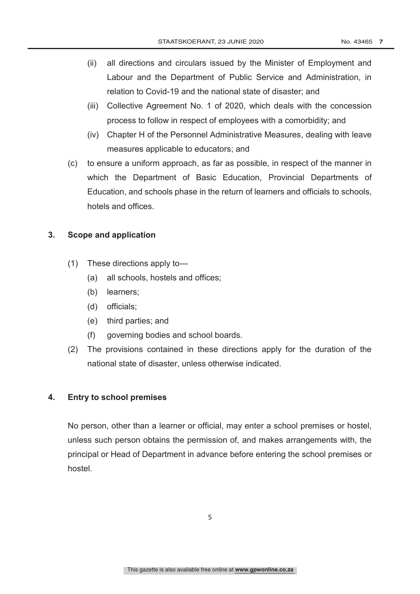- (ii) all directions and circulars issued by the Minister of Employment and Labour and the Department of Public Service and Administration, in relation to Covid-19 and the national state of disaster; and
- (iii) Collective Agreement No. 1 of 2020, which deals with the concession process to follow in respect of employees with a comorbidity; and
- (iv) Chapter H of the Personnel Administrative Measures, dealing with leave measures applicable to educators; and
- (c) to ensure a uniform approach, as far as possible, in respect of the manner in which the Department of Basic Education, Provincial Departments of Education, and schools phase in the return of learners and officials to schools, hotels and offices.

# **3. Scope and application**

- (1) These directions apply to—
	- (a) all schools, hostels and offices;
	- (b) learners;
	- (d) officials;
	- (e) third parties; and
	- (f) governing bodies and school boards.
- (2) The provisions contained in these directions apply for the duration of the national state of disaster, unless otherwise indicated.

#### **4. Entry to school premises**

No person, other than a learner or official, may enter a school premises or hostel, unless such person obtains the permission of, and makes arrangements with, the principal or Head of Department in advance before entering the school premises or hostel.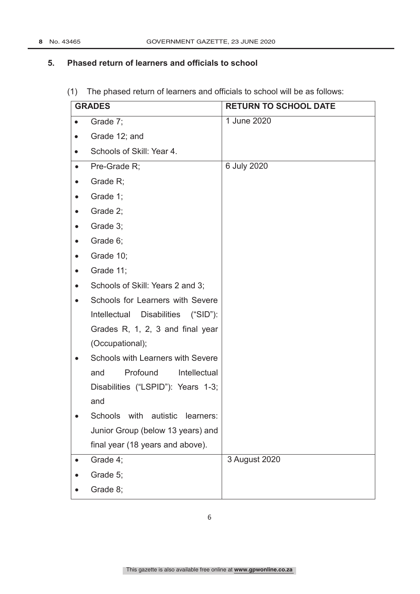# **5. Phased return of learners and officials to school**

(1) The phased return of learners and officials to school will be as follows:

| <b>GRADES</b> |                                    | <b>RETURN TO SCHOOL DATE</b> |
|---------------|------------------------------------|------------------------------|
| $\bullet$     | Grade 7;                           | 1 June 2020                  |
| $\bullet$     | Grade 12; and                      |                              |
| $\bullet$     | Schools of Skill: Year 4.          |                              |
| $\bullet$     | Pre-Grade R;                       | 6 July 2020                  |
| $\bullet$     | Grade R;                           |                              |
| $\bullet$     | Grade 1;                           |                              |
| $\bullet$     | Grade 2;                           |                              |
| $\bullet$     | Grade 3;                           |                              |
| $\bullet$     | Grade 6;                           |                              |
| $\bullet$     | Grade 10;                          |                              |
| $\bullet$     | Grade 11;                          |                              |
| $\bullet$     | Schools of Skill: Years 2 and 3;   |                              |
|               | Schools for Learners with Severe   |                              |
|               | Intellectual Disabilities ("SID"): |                              |
|               | Grades R, 1, 2, 3 and final year   |                              |
|               | (Occupational);                    |                              |
| $\bullet$     | Schools with Learners with Severe  |                              |
|               | Profound<br>Intellectual<br>and    |                              |
|               | Disabilities ("LSPID"): Years 1-3; |                              |
|               | and                                |                              |
|               | Schools with autistic learners:    |                              |
|               | Junior Group (below 13 years) and  |                              |
|               | final year (18 years and above).   |                              |
|               | Grade 4;                           | 3 August 2020                |
|               | Grade 5;                           |                              |
|               | Grade 8;                           |                              |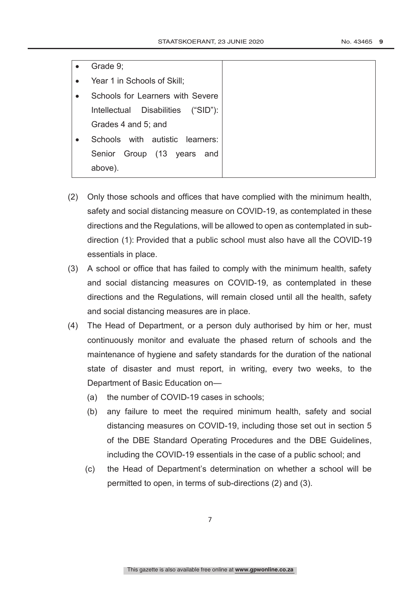|           | Grade 9;                                 |
|-----------|------------------------------------------|
| $\bullet$ | Year 1 in Schools of Skill;              |
|           | Schools for Learners with Severe         |
|           | Intellectual Disabilities<br>$("SID")$ : |
|           | Grades 4 and 5; and                      |
|           | Schools with autistic<br>learners:       |
|           | Senior Group (13 years and               |
|           | above).                                  |

- (2) Only those schools and offices that have complied with the minimum health, safety and social distancing measure on COVID-19, as contemplated in these directions and the Regulations, will be allowed to open as contemplated in subdirection (1): Provided that a public school must also have all the COVID-19 essentials in place.
- (3) A school or office that has failed to comply with the minimum health, safety and social distancing measures on COVID-19, as contemplated in these directions and the Regulations, will remain closed until all the health, safety and social distancing measures are in place.
- (4) The Head of Department, or a person duly authorised by him or her, must continuously monitor and evaluate the phased return of schools and the maintenance of hygiene and safety standards for the duration of the national state of disaster and must report, in writing, every two weeks, to the Department of Basic Education on—
	- (a) the number of COVID-19 cases in schools;
	- (b) any failure to meet the required minimum health, safety and social distancing measures on COVID-19, including those set out in section 5 of the DBE Standard Operating Procedures and the DBE Guidelines, including the COVID-19 essentials in the case of a public school; and
	- (c) the Head of Department's determination on whether a school will be permitted to open, in terms of sub-directions (2) and (3).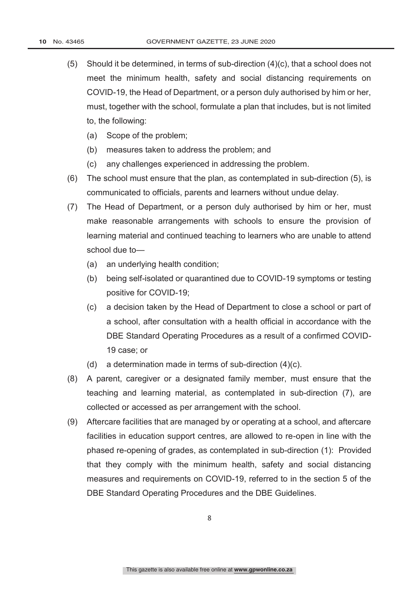- (5) Should it be determined, in terms of sub-direction  $(4)(c)$ , that a school does not meet the minimum health, safety and social distancing requirements on COVID-19, the Head of Department, or a person duly authorised by him or her, must, together with the school, formulate a plan that includes, but is not limited to, the following:
	- (a) Scope of the problem;
	- (b) measures taken to address the problem; and
	- (c) any challenges experienced in addressing the problem.
- (6) The school must ensure that the plan, as contemplated in sub-direction (5), is communicated to officials, parents and learners without undue delay.
- (7) The Head of Department, or a person duly authorised by him or her, must make reasonable arrangements with schools to ensure the provision of learning material and continued teaching to learners who are unable to attend school due to—
	- (a) an underlying health condition;
	- (b) being self-isolated or quarantined due to COVID-19 symptoms or testing positive for COVID-19;
	- (c) a decision taken by the Head of Department to close a school or part of a school, after consultation with a health official in accordance with the DBE Standard Operating Procedures as a result of a confirmed COVID-19 case; or
	- (d) a determination made in terms of sub-direction (4)(c).
- (8) A parent, caregiver or a designated family member, must ensure that the teaching and learning material, as contemplated in sub-direction (7), are collected or accessed as per arrangement with the school.
- (9) Aftercare facilities that are managed by or operating at a school, and aftercare facilities in education support centres, are allowed to re-open in line with the phased re-opening of grades, as contemplated in sub-direction (1): Provided that they comply with the minimum health, safety and social distancing measures and requirements on COVID-19, referred to in the section 5 of the DBE Standard Operating Procedures and the DBE Guidelines.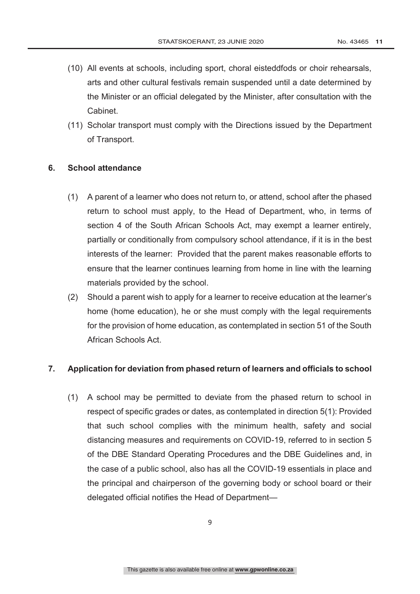- (10) All events at schools, including sport, choral eisteddfods or choir rehearsals, arts and other cultural festivals remain suspended until a date determined by the Minister or an official delegated by the Minister, after consultation with the Cabinet.
- (11) Scholar transport must comply with the Directions issued by the Department of Transport.

#### **6. School attendance**

- (1) A parent of a learner who does not return to, or attend, school after the phased return to school must apply, to the Head of Department, who, in terms of section 4 of the South African Schools Act, may exempt a learner entirely, partially or conditionally from compulsory school attendance, if it is in the best interests of the learner: Provided that the parent makes reasonable efforts to ensure that the learner continues learning from home in line with the learning materials provided by the school.
- (2) Should a parent wish to apply for a learner to receive education at the learner's home (home education), he or she must comply with the legal requirements for the provision of home education, as contemplated in section 51 of the South African Schools Act.

#### **7. Application for deviation from phased return of learners and officials to school**

(1) A school may be permitted to deviate from the phased return to school in respect of specific grades or dates, as contemplated in direction 5(1): Provided that such school complies with the minimum health, safety and social distancing measures and requirements on COVID-19, referred to in section 5 of the DBE Standard Operating Procedures and the DBE Guidelines and, in the case of a public school, also has all the COVID-19 essentials in place and the principal and chairperson of the governing body or school board or their delegated official notifies the Head of Department—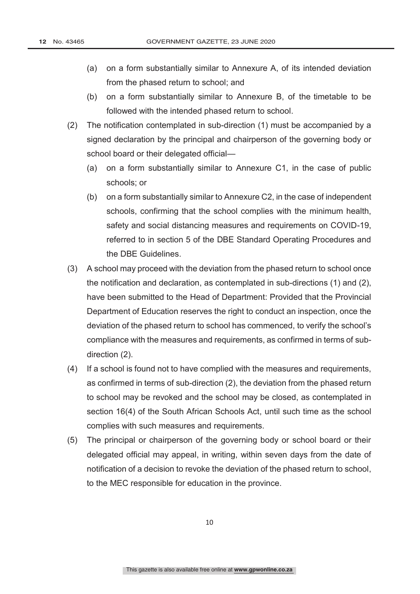- (a) on a form substantially similar to Annexure A, of its intended deviation from the phased return to school; and
- (b) on a form substantially similar to Annexure B, of the timetable to be followed with the intended phased return to school.
- (2) The notification contemplated in sub-direction (1) must be accompanied by a signed declaration by the principal and chairperson of the governing body or school board or their delegated official—
	- (a) on a form substantially similar to Annexure C1, in the case of public schools; or
	- (b) on a form substantially similar to Annexure C2, in the case of independent schools, confirming that the school complies with the minimum health, safety and social distancing measures and requirements on COVID-19, referred to in section 5 of the DBE Standard Operating Procedures and the DBE Guidelines.
- (3) A school may proceed with the deviation from the phased return to school once the notification and declaration, as contemplated in sub-directions (1) and (2), have been submitted to the Head of Department: Provided that the Provincial Department of Education reserves the right to conduct an inspection, once the deviation of the phased return to school has commenced, to verify the school's compliance with the measures and requirements, as confirmed in terms of subdirection (2).
- (4) If a school is found not to have complied with the measures and requirements, as confirmed in terms of sub-direction (2), the deviation from the phased return to school may be revoked and the school may be closed, as contemplated in section 16(4) of the South African Schools Act, until such time as the school complies with such measures and requirements.
- (5) The principal or chairperson of the governing body or school board or their delegated official may appeal, in writing, within seven days from the date of notification of a decision to revoke the deviation of the phased return to school, to the MEC responsible for education in the province.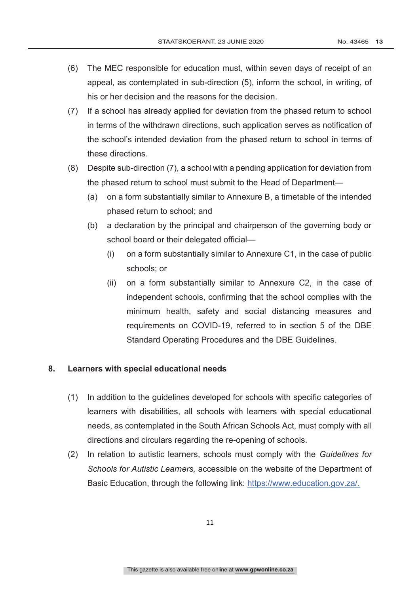- (6) The MEC responsible for education must, within seven days of receipt of an appeal, as contemplated in sub-direction (5), inform the school, in writing, of his or her decision and the reasons for the decision.
- (7) If a school has already applied for deviation from the phased return to school in terms of the withdrawn directions, such application serves as notification of the school's intended deviation from the phased return to school in terms of these directions.
- (8) Despite sub-direction (7), a school with a pending application for deviation from the phased return to school must submit to the Head of Department—
	- (a) on a form substantially similar to Annexure B, a timetable of the intended phased return to school; and
	- (b) a declaration by the principal and chairperson of the governing body or school board or their delegated official—
		- (i) on a form substantially similar to Annexure C1, in the case of public schools; or
		- (ii) on a form substantially similar to Annexure C2, in the case of independent schools, confirming that the school complies with the minimum health, safety and social distancing measures and requirements on COVID-19, referred to in section 5 of the DBE Standard Operating Procedures and the DBE Guidelines.

#### **8. Learners with special educational needs**

- (1) In addition to the guidelines developed for schools with specific categories of learners with disabilities, all schools with learners with special educational needs, as contemplated in the South African Schools Act, must comply with all directions and circulars regarding the re-opening of schools.
- (2) In relation to autistic learners, schools must comply with the *Guidelines for Schools for Autistic Learners,* accessible on the website of the Department of Basic Education, through the following link: https://www.education.gov.za/.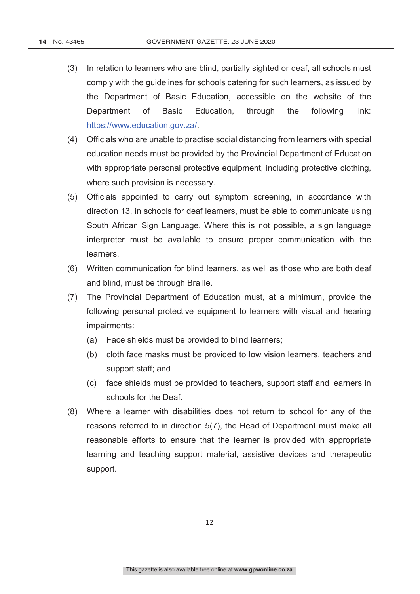- (3) In relation to learners who are blind, partially sighted or deaf, all schools must comply with the guidelines for schools catering for such learners, as issued by the Department of Basic Education, accessible on the website of the Department of Basic Education, through the following link: https://www.education.gov.za/.
- (4) Officials who are unable to practise social distancing from learners with special education needs must be provided by the Provincial Department of Education with appropriate personal protective equipment, including protective clothing, where such provision is necessary.
- (5) Officials appointed to carry out symptom screening, in accordance with direction 13, in schools for deaf learners, must be able to communicate using South African Sign Language. Where this is not possible, a sign language interpreter must be available to ensure proper communication with the learners.
- (6) Written communication for blind learners, as well as those who are both deaf and blind, must be through Braille.
- (7) The Provincial Department of Education must, at a minimum, provide the following personal protective equipment to learners with visual and hearing impairments:
	- (a) Face shields must be provided to blind learners;
	- (b) cloth face masks must be provided to low vision learners, teachers and support staff; and
	- (c) face shields must be provided to teachers, support staff and learners in schools for the Deaf.
- (8) Where a learner with disabilities does not return to school for any of the reasons referred to in direction 5(7), the Head of Department must make all reasonable efforts to ensure that the learner is provided with appropriate learning and teaching support material, assistive devices and therapeutic support.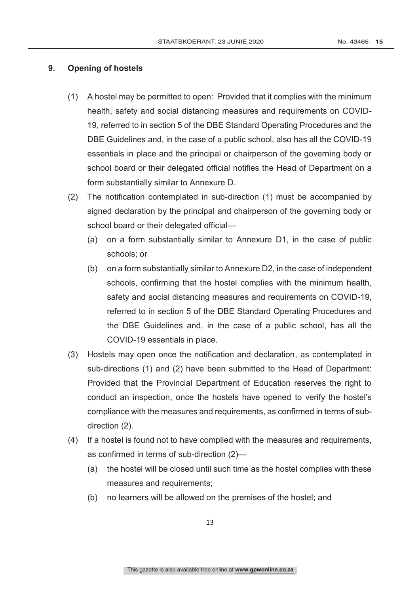# **9. Opening of hostels**

- (1) A hostel may be permitted to open: Provided that it complies with the minimum health, safety and social distancing measures and requirements on COVID-19, referred to in section 5 of the DBE Standard Operating Procedures and the DBE Guidelines and, in the case of a public school, also has all the COVID-19 essentials in place and the principal or chairperson of the governing body or school board or their delegated official notifies the Head of Department on a form substantially similar to Annexure D.
- (2) The notification contemplated in sub-direction (1) must be accompanied by signed declaration by the principal and chairperson of the governing body or school board or their delegated official—
	- (a) on a form substantially similar to Annexure D1, in the case of public schools; or
	- (b) on a form substantially similar to Annexure D2, in the case of independent schools, confirming that the hostel complies with the minimum health, safety and social distancing measures and requirements on COVID-19, referred to in section 5 of the DBE Standard Operating Procedures and the DBE Guidelines and, in the case of a public school, has all the COVID-19 essentials in place.
- (3) Hostels may open once the notification and declaration, as contemplated in sub-directions (1) and (2) have been submitted to the Head of Department: Provided that the Provincial Department of Education reserves the right to conduct an inspection, once the hostels have opened to verify the hostel's compliance with the measures and requirements, as confirmed in terms of subdirection (2).
- (4) If a hostel is found not to have complied with the measures and requirements, as confirmed in terms of sub-direction (2)—
	- (a) the hostel will be closed until such time as the hostel complies with these measures and requirements;
	- (b) no learners will be allowed on the premises of the hostel; and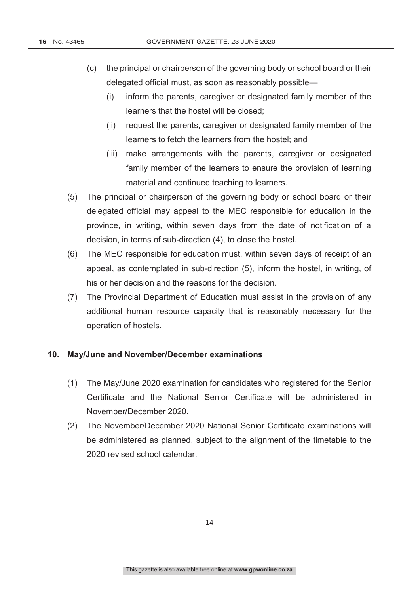- (c) the principal or chairperson of the governing body or school board or their delegated official must, as soon as reasonably possible—
	- (i) inform the parents, caregiver or designated family member of the learners that the hostel will be closed;
	- (ii) request the parents, caregiver or designated family member of the learners to fetch the learners from the hostel; and
	- (iii) make arrangements with the parents, caregiver or designated family member of the learners to ensure the provision of learning material and continued teaching to learners.
- (5) The principal or chairperson of the governing body or school board or their delegated official may appeal to the MEC responsible for education in the province, in writing, within seven days from the date of notification of a decision, in terms of sub-direction (4), to close the hostel.
- (6) The MEC responsible for education must, within seven days of receipt of an appeal, as contemplated in sub-direction (5), inform the hostel, in writing, of his or her decision and the reasons for the decision.
- (7) The Provincial Department of Education must assist in the provision of any additional human resource capacity that is reasonably necessary for the operation of hostels.

#### **10. May/June and November/December examinations**

- (1) The May/June 2020 examination for candidates who registered for the Senior Certificate and the National Senior Certificate will be administered in November/December 2020.
- (2) The November/December 2020 National Senior Certificate examinations will be administered as planned, subject to the alignment of the timetable to the 2020 revised school calendar.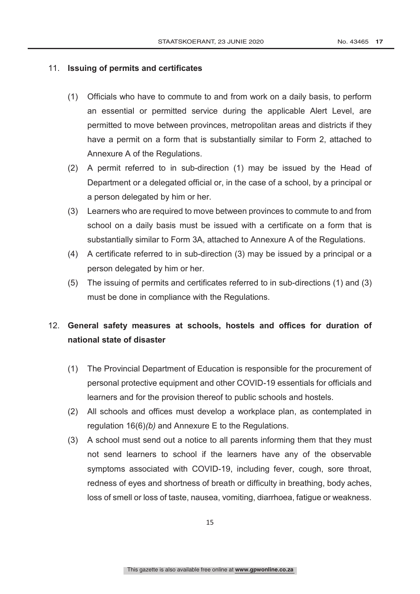#### 11. **Issuing of permits and certificates**

- (1) Officials who have to commute to and from work on a daily basis, to perform an essential or permitted service during the applicable Alert Level, are permitted to move between provinces, metropolitan areas and districts if they have a permit on a form that is substantially similar to Form 2, attached to Annexure A of the Regulations.
- (2) A permit referred to in sub-direction (1) may be issued by the Head of Department or a delegated official or, in the case of a school, by a principal or a person delegated by him or her.
- (3) Learners who are required to move between provinces to commute to and from school on a daily basis must be issued with a certificate on a form that is substantially similar to Form 3A, attached to Annexure A of the Regulations.
- (4) A certificate referred to in sub-direction (3) may be issued by a principal or a person delegated by him or her.
- (5) The issuing of permits and certificates referred to in sub-directions (1) and (3) must be done in compliance with the Regulations.

# 12. **General safety measures at schools, hostels and offices for duration of national state of disaster**

- (1) The Provincial Department of Education is responsible for the procurement of personal protective equipment and other COVID-19 essentials for officials and learners and for the provision thereof to public schools and hostels.
- (2) All schools and offices must develop a workplace plan, as contemplated in regulation 16(6)*(b)* and Annexure E to the Regulations.
- (3) A school must send out a notice to all parents informing them that they must not send learners to school if the learners have any of the observable symptoms associated with COVID-19, including fever, cough, sore throat, redness of eyes and shortness of breath or difficulty in breathing, body aches, loss of smell or loss of taste, nausea, vomiting, diarrhoea, fatigue or weakness.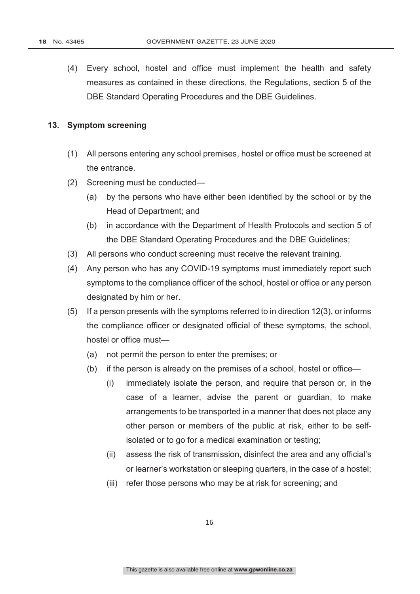(4) Every school, hostel and office must implement the health and safety measures as contained in these directions, the Regulations, section 5 of the DBE Standard Operating Procedures and the DBE Guidelines.

#### **13. Symptom screening**

- (1) All persons entering any school premises, hostel or office must be screened at the entrance.
- (2) Screening must be conducted—
	- (a) by the persons who have either been identified by the school or by the Head of Department; and
	- (b) in accordance with the Department of Health Protocols and section 5 of the DBE Standard Operating Procedures and the DBE Guidelines;
- (3) All persons who conduct screening must receive the relevant training.
- (4) Any person who has any COVID-19 symptoms must immediately report such symptoms to the compliance officer of the school, hostel or office or any person designated by him or her.
- (5) If a person presents with the symptoms referred to in direction 12(3), or informs the compliance officer or designated official of these symptoms, the school, hostel or office must—
	- (a) not permit the person to enter the premises; or
	- (b) if the person is already on the premises of a school, hostel or office—
		- (i) immediately isolate the person, and require that person or, in the case of a learner, advise the parent or guardian, to make arrangements to be transported in a manner that does not place any other person or members of the public at risk, either to be selfisolated or to go for a medical examination or testing;
		- (ii) assess the risk of transmission, disinfect the area and any official's or learner's workstation or sleeping quarters, in the case of a hostel;
		- (iii) refer those persons who may be at risk for screening; and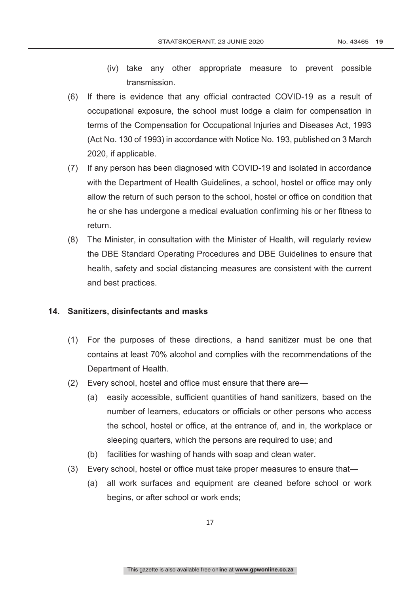- (iv) take any other appropriate measure to prevent possible transmission.
- (6) If there is evidence that any official contracted COVID-19 as a result of occupational exposure, the school must lodge a claim for compensation in terms of the Compensation for Occupational Injuries and Diseases Act, 1993 (Act No. 130 of 1993) in accordance with Notice No. 193, published on 3 March 2020, if applicable.
- (7) If any person has been diagnosed with COVID-19 and isolated in accordance with the Department of Health Guidelines, a school, hostel or office may only allow the return of such person to the school, hostel or office on condition that he or she has undergone a medical evaluation confirming his or her fitness to return.
- (8) The Minister, in consultation with the Minister of Health, will regularly review the DBE Standard Operating Procedures and DBE Guidelines to ensure that health, safety and social distancing measures are consistent with the current and best practices.

#### **14. Sanitizers, disinfectants and masks**

- (1) For the purposes of these directions, a hand sanitizer must be one that contains at least 70% alcohol and complies with the recommendations of the Department of Health.
- (2) Every school, hostel and office must ensure that there are—
	- (a) easily accessible, sufficient quantities of hand sanitizers, based on the number of learners, educators or officials or other persons who access the school, hostel or office, at the entrance of, and in, the workplace or sleeping quarters, which the persons are required to use; and
	- (b) facilities for washing of hands with soap and clean water.
- (3) Every school, hostel or office must take proper measures to ensure that—
	- (a) all work surfaces and equipment are cleaned before school or work begins, or after school or work ends;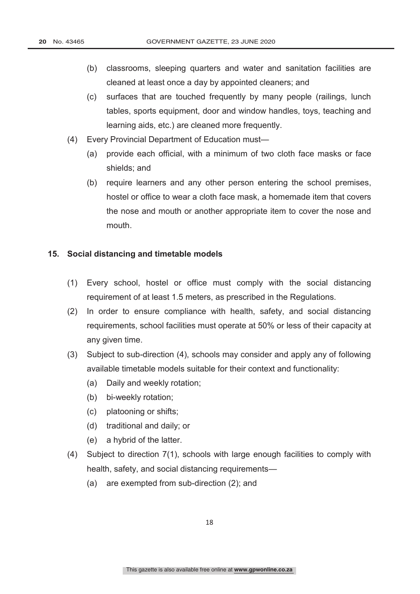- (b) classrooms, sleeping quarters and water and sanitation facilities are cleaned at least once a day by appointed cleaners; and
- (c) surfaces that are touched frequently by many people (railings, lunch tables, sports equipment, door and window handles, toys, teaching and learning aids, etc.) are cleaned more frequently.
- (4) Every Provincial Department of Education must—
	- (a) provide each official, with a minimum of two cloth face masks or face shields; and
	- (b) require learners and any other person entering the school premises, hostel or office to wear a cloth face mask, a homemade item that covers the nose and mouth or another appropriate item to cover the nose and mouth.

#### **15. Social distancing and timetable models**

- (1) Every school, hostel or office must comply with the social distancing requirement of at least 1.5 meters, as prescribed in the Regulations.
- (2) In order to ensure compliance with health, safety, and social distancing requirements, school facilities must operate at 50% or less of their capacity at any given time.
- (3) Subject to sub-direction (4), schools may consider and apply any of following available timetable models suitable for their context and functionality:
	- (a) Daily and weekly rotation;
	- (b) bi-weekly rotation;
	- (c) platooning or shifts;
	- (d) traditional and daily; or
	- (e) a hybrid of the latter.
- (4) Subject to direction 7(1), schools with large enough facilities to comply with health, safety, and social distancing requirements—
	- (a) are exempted from sub-direction (2); and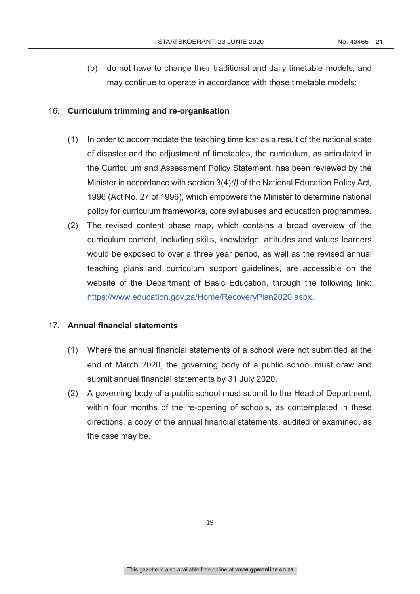(b) do not have to change their traditional and daily timetable models, and may continue to operate in accordance with those timetable models:

#### 16. **Curriculum trimming and re-organisation**

- (1) In order to accommodate the teaching time lost as a result of the national state of disaster and the adjustment of timetables, the curriculum, as articulated in the Curriculum and Assessment Policy Statement, has been reviewed by the Minister in accordance with section 3(4)*(l)* of the National Education Policy Act*,*  1996 (Act No. 27 of 1996), which empowers the Minister to determine national policy for curriculum frameworks, core syllabuses and education programmes.
- (2) The revised content phase map, which contains a broad overview of the curriculum content, including skills, knowledge, attitudes and values learners would be exposed to over a three year period, as well as the revised annual teaching plans and curriculum support guidelines, are accessible on the website of the Department of Basic Education, through the following link: https://www.education.gov.za/Home/RecoveryPlan2020.aspx.

# 17. **Annual financial statements**

- (1) Where the annual financial statements of a school were not submitted at the end of March 2020, the governing body of a public school must draw and submit annual financial statements by 31 July 2020.
- (2) A governing body of a public school must submit to the Head of Department, within four months of the re-opening of schools, as contemplated in these directions, a copy of the annual financial statements, audited or examined, as the case may be.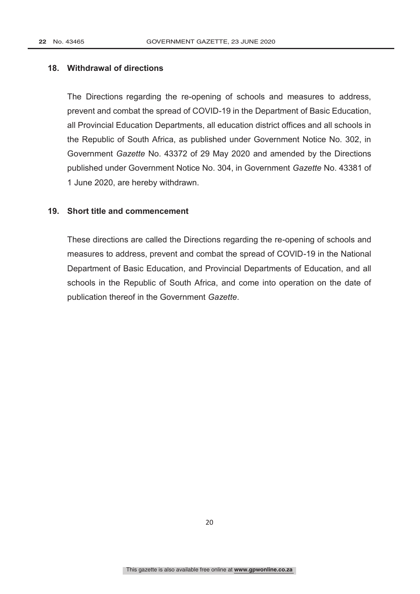#### **18. Withdrawal of directions**

The Directions regarding the re-opening of schools and measures to address, prevent and combat the spread of COVID-19 in the Department of Basic Education, all Provincial Education Departments, all education district offices and all schools in the Republic of South Africa, as published under Government Notice No. 302, in Government *Gazette* No. 43372 of 29 May 2020 and amended by the Directions published under Government Notice No. 304, in Government *Gazette* No. 43381 of 1 June 2020, are hereby withdrawn.

#### **19. Short title and commencement**

These directions are called the Directions regarding the re-opening of schools and measures to address, prevent and combat the spread of COVID-19 in the National Department of Basic Education, and Provincial Departments of Education, and all schools in the Republic of South Africa, and come into operation on the date of publication thereof in the Government *Gazette*.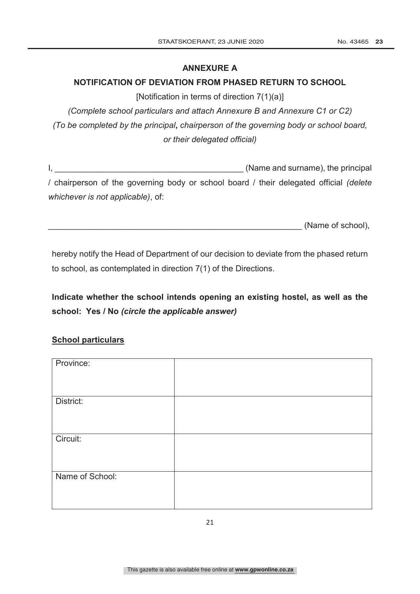# **ANNEXURE A**

# **NOTIFICATION OF DEVIATION FROM PHASED RETURN TO SCHOOL**

[Notification in terms of direction 7(1)(a)]

*(Complete school particulars and attach Annexure B and Annexure C1 or C2) (To be completed by the principal***,** *chairperson of the governing body or school board, or their delegated official)*

I, the principal intervals of the state of the state (Name and surname), the principal / chairperson of the governing body or school board / their delegated official *(delete whichever is not applicable)*, of:

(Name of school),

hereby notify the Head of Department of our decision to deviate from the phased return to school, as contemplated in direction 7(1) of the Directions.

**Indicate whether the school intends opening an existing hostel, as well as the school: Yes / No** *(circle the applicable answer)*

#### **School particulars**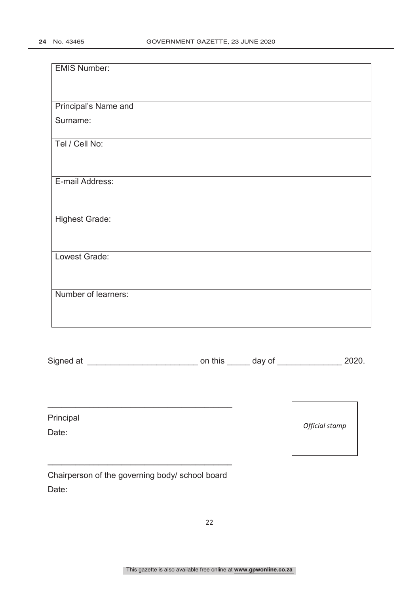| <b>EMIS Number:</b>   |  |
|-----------------------|--|
|                       |  |
|                       |  |
|                       |  |
| Principal's Name and  |  |
| Surname:              |  |
|                       |  |
| Tel / Cell No:        |  |
|                       |  |
|                       |  |
|                       |  |
| E-mail Address:       |  |
|                       |  |
|                       |  |
| <b>Highest Grade:</b> |  |
|                       |  |
|                       |  |
| Lowest Grade:         |  |
|                       |  |
|                       |  |
|                       |  |
| Number of learners:   |  |
|                       |  |
|                       |  |

Signed at \_\_\_\_\_\_\_\_\_\_\_\_\_\_\_\_\_\_\_\_\_\_\_\_ on this \_\_\_\_\_ day of \_\_\_\_\_\_\_\_\_\_\_\_\_\_ 2020.

Principal

Date:

*Official stamp*

| Chairperson of the governing body/ school board |  |  |  |
|-------------------------------------------------|--|--|--|
| Date:                                           |  |  |  |

**\_\_\_\_\_\_\_\_\_\_\_\_\_\_\_\_\_\_\_\_\_\_\_\_\_\_\_\_\_\_\_\_\_\_\_\_\_\_\_\_**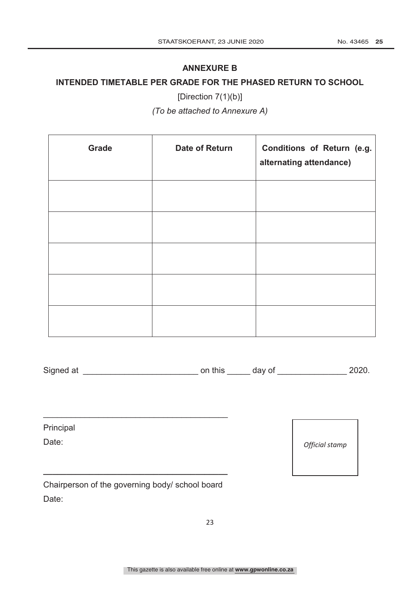# **ANNEXURE B**

# **INTENDED TIMETABLE PER GRADE FOR THE PHASED RETURN TO SCHOOL**

[Direction 7(1)(b)]

*(To be attached to Annexure A)*

| Grade | <b>Date of Return</b> | Conditions of Return (e.g.<br>alternating attendance) |
|-------|-----------------------|-------------------------------------------------------|
|       |                       |                                                       |
|       |                       |                                                       |
|       |                       |                                                       |
|       |                       |                                                       |
|       |                       |                                                       |

Signed at \_\_\_\_\_\_\_\_\_\_\_\_\_\_\_\_\_\_\_\_\_\_\_\_\_ on this \_\_\_\_\_ day of \_\_\_\_\_\_\_\_\_\_\_\_\_\_\_ 2020.

Principal

Date:

*Official stamp*

| Chairperson of the governing body/ school board |  |  |
|-------------------------------------------------|--|--|
| Date:                                           |  |  |

**\_\_\_\_\_\_\_\_\_\_\_\_\_\_\_\_\_\_\_\_\_\_\_\_\_\_\_\_\_\_\_\_\_\_\_\_\_\_\_\_**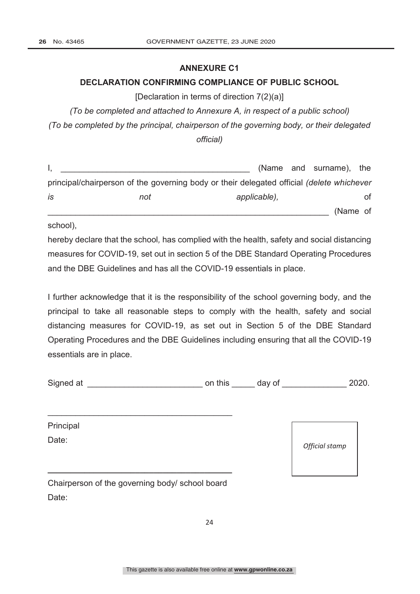#### **ANNEXURE C1**

#### **DECLARATION CONFIRMING COMPLIANCE OF PUBLIC SCHOOL**

[Declaration in terms of direction 7(2)(a)]

*(To be completed and attached to Annexure A, in respect of a public school)*

*(To be completed by the principal, chairperson of the governing body, or their delegated official)*

|    |     |                                                                                           |              | (Name and surname), the |    |
|----|-----|-------------------------------------------------------------------------------------------|--------------|-------------------------|----|
|    |     | principal/chairperson of the governing body or their delegated official (delete whichever |              |                         |    |
| is | not |                                                                                           | applicable), |                         | Οf |
|    |     |                                                                                           |              | (Name of                |    |

school),

hereby declare that the school*,* has complied with the health, safety and social distancing measures for COVID-19, set out in section 5 of the DBE Standard Operating Procedures and the DBE Guidelines and has all the COVID-19 essentials in place.

I further acknowledge that it is the responsibility of the school governing body, and the principal to take all reasonable steps to comply with the health, safety and social distancing measures for COVID-19, as set out in Section 5 of the DBE Standard Operating Procedures and the DBE Guidelines including ensuring that all the COVID-19 essentials are in place.

| Signed at | on this | dav of |  | 2020. |
|-----------|---------|--------|--|-------|
|           |         |        |  |       |

Principal Date:

*Official stamp*

Chairperson of the governing body/ school board Date:

**\_\_\_\_\_\_\_\_\_\_\_\_\_\_\_\_\_\_\_\_\_\_\_\_\_\_\_\_\_\_\_\_\_\_\_\_\_\_\_\_**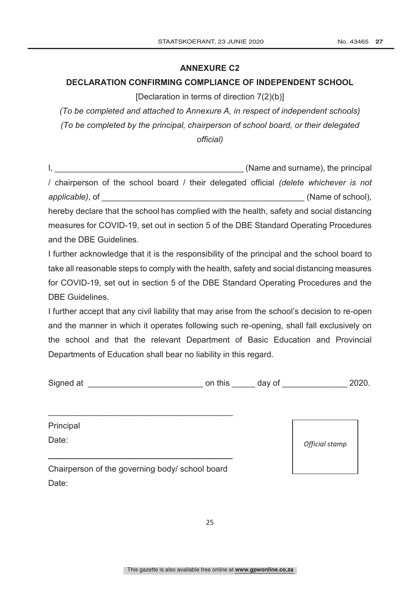I further accept that any civil liability that may arise from the school's decision to re-open and the manner in which it operates following such re-opening, shall fall exclusively on the school and that the relevant Department of Basic Education and Provincial Departments of Education shall bear no liability in this regard.

Signed at the control on this day of the control 2020.

\_\_\_\_\_\_\_\_\_\_\_\_\_\_\_\_\_\_\_\_\_\_\_\_\_\_\_\_\_\_\_\_\_\_\_\_\_\_\_\_

**\_\_\_\_\_\_\_\_\_\_\_\_\_\_\_\_\_\_\_\_\_\_\_\_\_\_\_\_\_\_\_\_\_\_\_\_\_\_\_\_** Chairperson of the governing body/ school board

25

This gazette is also available free online at **www.gpwonline.co.za**

#### **ANNEXURE C2**

#### **DECLARATION CONFIRMING COMPLIANCE OF INDEPENDENT SCHOOL**

#### [Declaration in terms of direction 7(2)(b)]

*(To be completed and attached to Annexure A, in respect of independent schools) (To be completed by the principal, chairperson of school board, or their delegated official)*

I, the principal interval in the state of the state (Name and surname), the principal / chairperson of the school board / their delegated official *(delete whichever is not* 

*applicable*), of  $\Box$  (Name of school),

hereby declare that the school has complied with the health, safety and social distancing

measures for COVID-19, set out in section 5 of the DBE Standard Operating Procedures

I further acknowledge that it is the responsibility of the principal and the school board to

take all reasonable steps to comply with the health, safety and social distancing measures for COVID-19, set out in section 5 of the DBE Standard Operating Procedures and the

and the DBE Guidelines.

DBE Guidelines.

Principal

Date:

Date:

*Official stamp*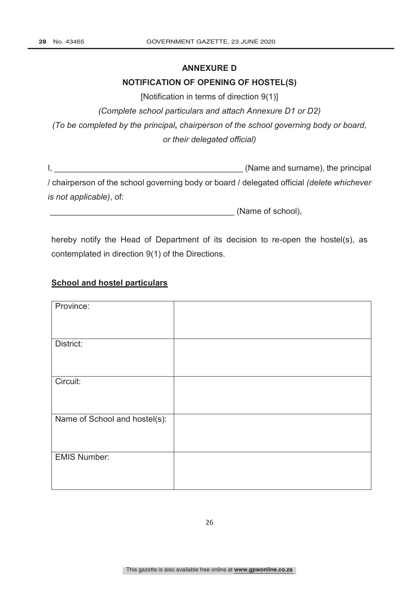## **ANNEXURE D**

# **NOTIFICATION OF OPENING OF HOSTEL(S)**

[Notification in terms of direction 9(1)]

*(Complete school particulars and attach Annexure D1 or D2)* 

*(To be completed by the principal***,** *chairperson of the school governing body or board, or their delegated official)*

|                                                                                                   | (Name and surname), the principal |
|---------------------------------------------------------------------------------------------------|-----------------------------------|
| / chairperson of the school governing body or board / delegated official <i>(delete whichever</i> |                                   |
| <i>is not applicable), of:</i>                                                                    |                                   |

(Name of school),

hereby notify the Head of Department of its decision to re-open the hostel(s), as contemplated in direction 9(1) of the Directions.

#### **School and hostel particulars**

| Province:                     |  |
|-------------------------------|--|
|                               |  |
|                               |  |
|                               |  |
|                               |  |
|                               |  |
| District:                     |  |
|                               |  |
|                               |  |
|                               |  |
|                               |  |
|                               |  |
| Circuit:                      |  |
|                               |  |
|                               |  |
|                               |  |
|                               |  |
|                               |  |
| Name of School and hostel(s): |  |
|                               |  |
|                               |  |
|                               |  |
|                               |  |
|                               |  |
| <b>EMIS Number:</b>           |  |
|                               |  |
|                               |  |
|                               |  |
|                               |  |
|                               |  |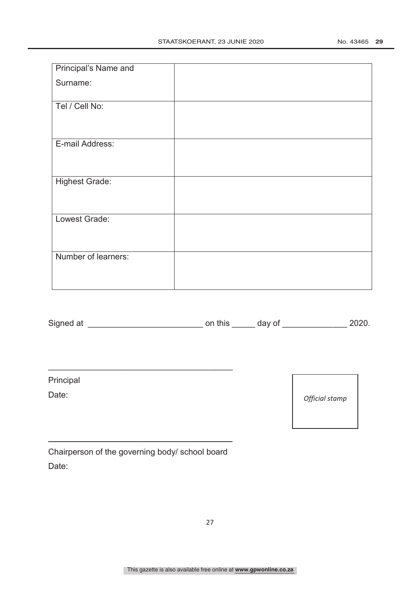| Principal's Name and  |  |
|-----------------------|--|
| Surname:              |  |
| Tel / Cell No:        |  |
| E-mail Address:       |  |
| <b>Highest Grade:</b> |  |
| Lowest Grade:         |  |
| Number of learners:   |  |

| Signed at | on this | dav of |  | 2020. |
|-----------|---------|--------|--|-------|
|           |         |        |  |       |

Principal

Date:

*Official stamp*

| Chairperson of the governing body/ school board |  |
|-------------------------------------------------|--|
| Date:                                           |  |

**\_\_\_\_\_\_\_\_\_\_\_\_\_\_\_\_\_\_\_\_\_\_\_\_\_\_\_\_\_\_\_\_\_\_\_\_\_\_\_\_**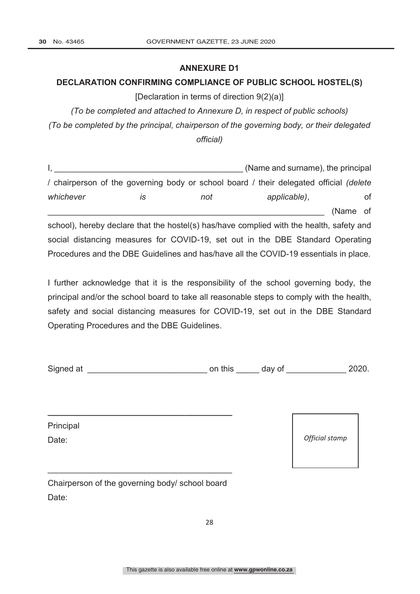#### **ANNEXURE D1**

# **DECLARATION CONFIRMING COMPLIANCE OF PUBLIC SCHOOL HOSTEL(S)**

[Declaration in terms of direction 9(2)(a)]

*(To be completed and attached to Annexure D, in respect of public schools)*

*(To be completed by the principal, chairperson of the governing body, or their delegated official)*

|           |    |     | (Name and surname), the principal                                                        |          |
|-----------|----|-----|------------------------------------------------------------------------------------------|----------|
|           |    |     | / chairperson of the governing body or school board / their delegated official (delete   |          |
| whichever | IS | not | applicable),                                                                             | 0f       |
|           |    |     |                                                                                          | (Name of |
|           |    |     | school), hereby declare that the hostel(s) has/have complied with the health, safety and |          |
|           |    |     | social distancing measures for COVID-19, set out in the DBE Standard Operating           |          |

Procedures and the DBE Guidelines and has/have all the COVID-19 essentials in place.

I further acknowledge that it is the responsibility of the school governing body, the principal and/or the school board to take all reasonable steps to comply with the health, safety and social distancing measures for COVID-19, set out in the DBE Standard Operating Procedures and the DBE Guidelines.

| Signed at<br>on this | day of |  | 2020. |
|----------------------|--------|--|-------|
|----------------------|--------|--|-------|

Principal Date:

*Official stamp*

| Chairperson of the governing body/ school board |  |
|-------------------------------------------------|--|
| Date:                                           |  |

\_\_\_\_\_\_\_\_\_\_\_\_\_\_\_\_\_\_\_\_\_\_\_\_\_\_\_\_\_\_\_\_\_\_\_\_\_\_\_\_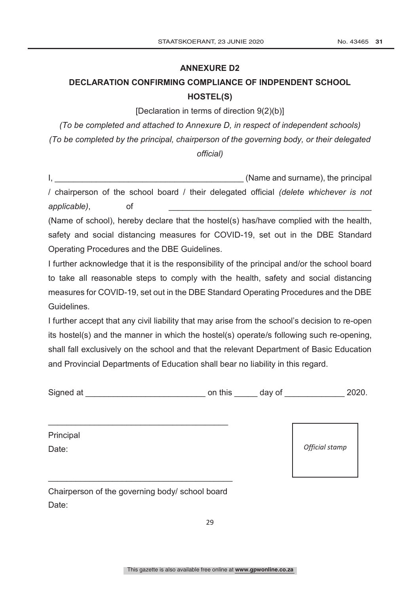# **ANNEXURE D2**

# **DECLARATION CONFIRMING COMPLIANCE OF INDPENDENT SCHOOL HOSTEL(S)**

## [Declaration in terms of direction 9(2)(b)]

*(To be completed and attached to Annexure D, in respect of independent schools) (To be completed by the principal, chairperson of the governing body, or their delegated official)*

(Name and surname), the principal / chairperson of the school board / their delegated official *(delete whichever is not*  applicable), of

(Name of school), hereby declare that the hostel(s) has/have complied with the health, safety and social distancing measures for COVID-19, set out in the DBE Standard Operating Procedures and the DBE Guidelines.

I further acknowledge that it is the responsibility of the principal and/or the school board to take all reasonable steps to comply with the health, safety and social distancing measures for COVID-19, set out in the DBE Standard Operating Procedures and the DBE Guidelines.

I further accept that any civil liability that may arise from the school's decision to re-open its hostel(s) and the manner in which the hostel(s) operate/s following such re-opening, shall fall exclusively on the school and that the relevant Department of Basic Education and Provincial Departments of Education shall bear no liability in this regard.

| Signed at | on this | day of | 2020. |
|-----------|---------|--------|-------|
|           |         |        |       |

Principal Date:

*Official stamp*

| Chairperson of the governing body/ school board |  |  |
|-------------------------------------------------|--|--|
| Date:                                           |  |  |

\_\_\_\_\_\_\_\_\_\_\_\_\_\_\_\_\_\_\_\_\_\_\_\_\_\_\_\_\_\_\_\_\_\_\_\_\_\_\_\_